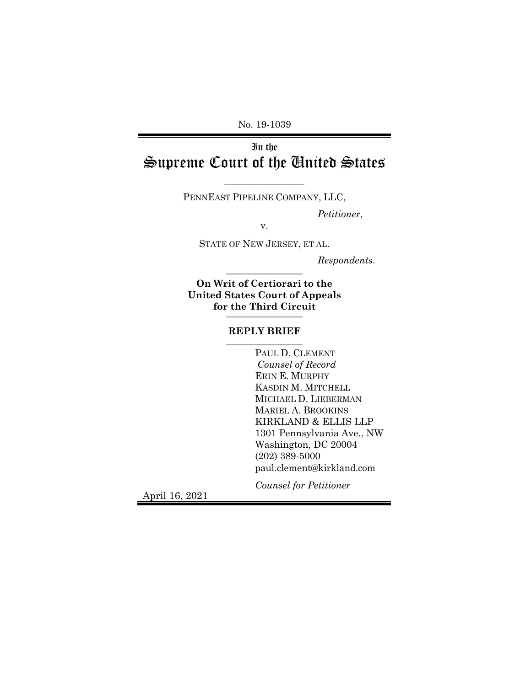No. 19-1039

# In the Supreme Court of the United States

 $\overline{\phantom{a}}$  , where  $\overline{\phantom{a}}$ PENNEAST PIPELINE COMPANY, LLC,

*Petitioner*,

v.

STATE OF NEW JERSEY, ET AL.

*Respondents*.

**On Writ of Certiorari to the United States Court of Appeals for the Third Circuit** \_\_\_\_\_\_\_\_\_\_\_\_\_\_\_\_

\_\_\_\_\_\_\_\_\_\_\_\_\_\_\_\_

#### **REPLY BRIEF** \_\_\_\_\_\_\_\_\_\_\_\_\_\_\_\_

PAUL D. CLEMENT *Counsel of Record* ERIN E. MURPHY KASDIN M. MITCHELL MICHAEL D. LIEBERMAN MARIEL A. BROOKINS KIRKLAND & ELLIS LLP 1301 Pennsylvania Ave., NW Washington, DC 20004 (202) 389-5000 [paul.clement@kirkland.com](mailto:paul.clement@kirkland.com)

*Counsel for Petitioner*

April 16, 2021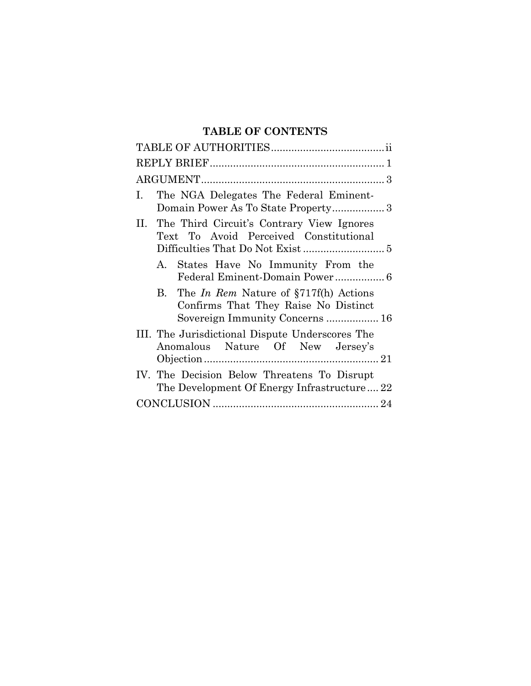# **TABLE OF CONTENTS**

| The NGA Delegates The Federal Eminent-<br>Ι.<br>Domain Power As To State Property3                                     |
|------------------------------------------------------------------------------------------------------------------------|
| II. The Third Circuit's Contrary View Ignores<br>Text To Avoid Perceived Constitutional                                |
| A. States Have No Immunity From the                                                                                    |
| B. The In Rem Nature of $\S717f(h)$ Actions<br>Confirms That They Raise No Distinct<br>Sovereign Immunity Concerns  16 |
| III. The Jurisdictional Dispute Underscores The<br>Anomalous Nature Of New Jersey's                                    |
| IV. The Decision Below Threatens To Disrupt<br>The Development Of Energy Infrastructure22                              |
|                                                                                                                        |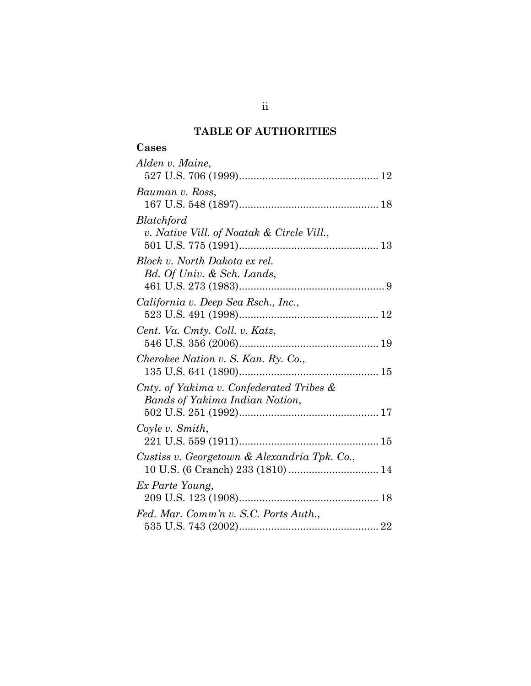# **TABLE OF AUTHORITIES**

| Alden v. Maine,                                                                   |
|-----------------------------------------------------------------------------------|
| Bauman v. Ross,                                                                   |
| Blatchford<br>v. Native Vill. of Noatak & Circle Vill.,                           |
| Block v. North Dakota ex rel.<br>Bd. Of Univ. & Sch. Lands,                       |
| California v. Deep Sea Rsch., Inc.,                                               |
| Cent. Va. Cmty. Coll. v. Katz,                                                    |
| Cherokee Nation v. S. Kan. Ry. Co.,                                               |
| Cnty. of Yakima v. Confederated Tribes &<br>Bands of Yakima Indian Nation,        |
| Coyle v. Smith,                                                                   |
| Custiss v. Georgetown & Alexandria Tpk. Co.,<br>10 U.S. (6 Cranch) 233 (1810)  14 |
| Ex Parte Young,                                                                   |
| Fed. Mar. Comm'n v. S.C. Ports Auth.,                                             |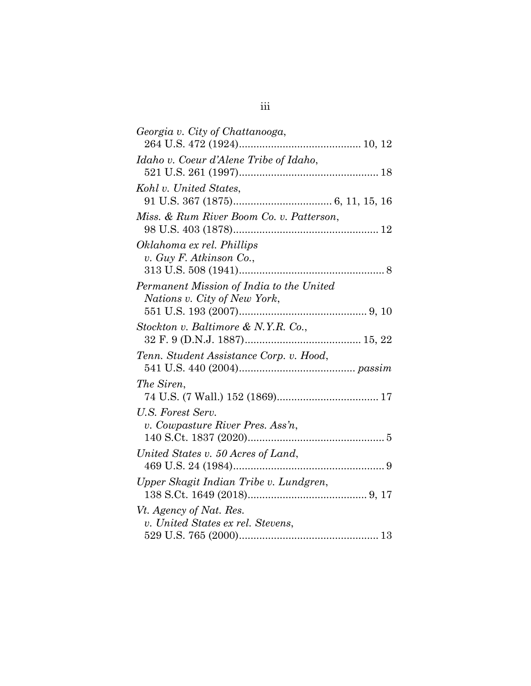| Georgia v. City of Chattanooga,          |
|------------------------------------------|
|                                          |
| Idaho v. Coeur d'Alene Tribe of Idaho,   |
|                                          |
| Kohl v. United States,                   |
|                                          |
| Miss. & Rum River Boom Co. v. Patterson, |
|                                          |
| Oklahoma ex rel. Phillips                |
| v. Guy F. Atkinson Co.,                  |
|                                          |
| Permanent Mission of India to the United |
| Nations v. City of New York,             |
|                                          |
| Stockton v. Baltimore & N.Y.R. Co.,      |
|                                          |
| Tenn. Student Assistance Corp. v. Hood,  |
|                                          |
| The Siren,                               |
|                                          |
| U.S. Forest Serv.                        |
| v. Cowpasture River Pres. Ass'n,         |
|                                          |
| United States v. 50 Acres of Land,       |
|                                          |
| Upper Skagit Indian Tribe v. Lundgren,   |
|                                          |
| Vt. Agency of Nat. Res.                  |
| v. United States ex rel. Stevens,        |
|                                          |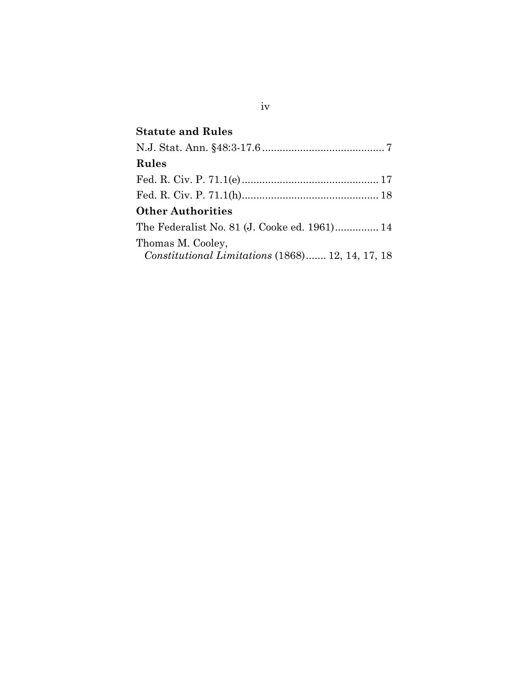| <b>Statute and Rules</b>                         |
|--------------------------------------------------|
|                                                  |
| Rules                                            |
|                                                  |
|                                                  |
| <b>Other Authorities</b>                         |
| The Federalist No. 81 (J. Cooke ed. 1961) 14     |
| Thomas M. Cooley,                                |
| Constitutional Limitations (1868) 12, 14, 17, 18 |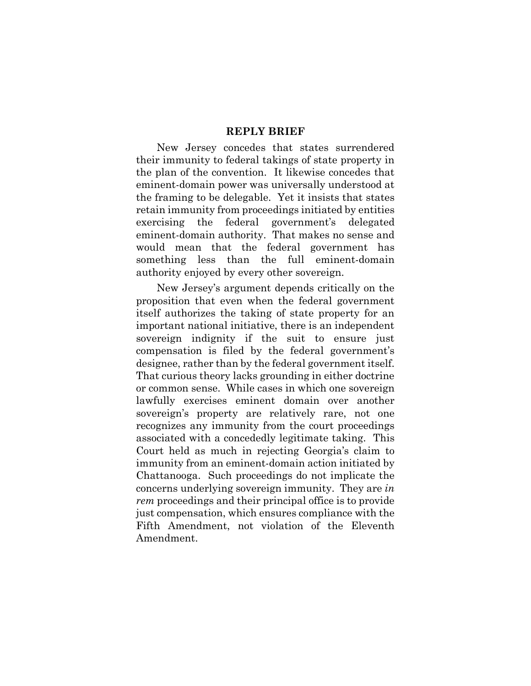#### **REPLY BRIEF**

New Jersey concedes that states surrendered their immunity to federal takings of state property in the plan of the convention. It likewise concedes that eminent-domain power was universally understood at the framing to be delegable. Yet it insists that states retain immunity from proceedings initiated by entities exercising the federal government's delegated eminent-domain authority. That makes no sense and would mean that the federal government has something less than the full eminent-domain authority enjoyed by every other sovereign.

New Jersey's argument depends critically on the proposition that even when the federal government itself authorizes the taking of state property for an important national initiative, there is an independent sovereign indignity if the suit to ensure just compensation is filed by the federal government's designee, rather than by the federal government itself. That curious theory lacks grounding in either doctrine or common sense. While cases in which one sovereign lawfully exercises eminent domain over another sovereign's property are relatively rare, not one recognizes any immunity from the court proceedings associated with a concededly legitimate taking. This Court held as much in rejecting Georgia's claim to immunity from an eminent-domain action initiated by Chattanooga. Such proceedings do not implicate the concerns underlying sovereign immunity. They are *in rem* proceedings and their principal office is to provide just compensation, which ensures compliance with the Fifth Amendment, not violation of the Eleventh Amendment.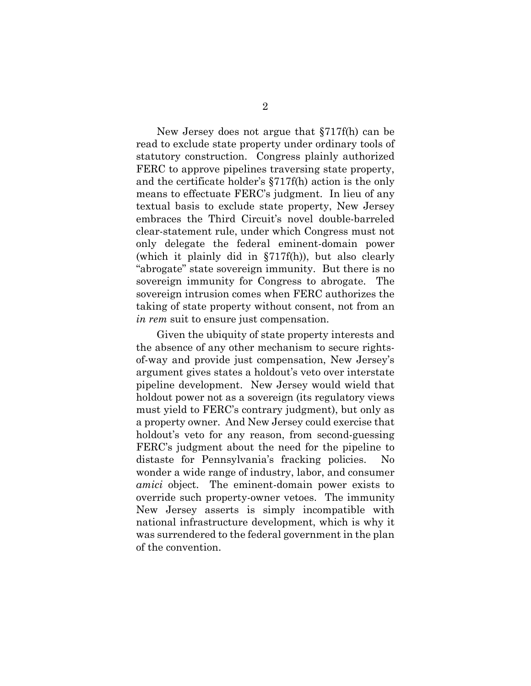New Jersey does not argue that §717f(h) can be read to exclude state property under ordinary tools of statutory construction. Congress plainly authorized FERC to approve pipelines traversing state property, and the certificate holder's §717f(h) action is the only means to effectuate FERC's judgment. In lieu of any textual basis to exclude state property, New Jersey embraces the Third Circuit's novel double-barreled clear-statement rule, under which Congress must not only delegate the federal eminent-domain power (which it plainly did in §717f(h)), but also clearly "abrogate" state sovereign immunity. But there is no sovereign immunity for Congress to abrogate. The sovereign intrusion comes when FERC authorizes the taking of state property without consent, not from an *in rem* suit to ensure just compensation.

Given the ubiquity of state property interests and the absence of any other mechanism to secure rightsof-way and provide just compensation, New Jersey's argument gives states a holdout's veto over interstate pipeline development. New Jersey would wield that holdout power not as a sovereign (its regulatory views must yield to FERC's contrary judgment), but only as a property owner. And New Jersey could exercise that holdout's veto for any reason, from second-guessing FERC's judgment about the need for the pipeline to distaste for Pennsylvania's fracking policies. No wonder a wide range of industry, labor, and consumer *amici* object. The eminent-domain power exists to override such property-owner vetoes. The immunity New Jersey asserts is simply incompatible with national infrastructure development, which is why it was surrendered to the federal government in the plan of the convention.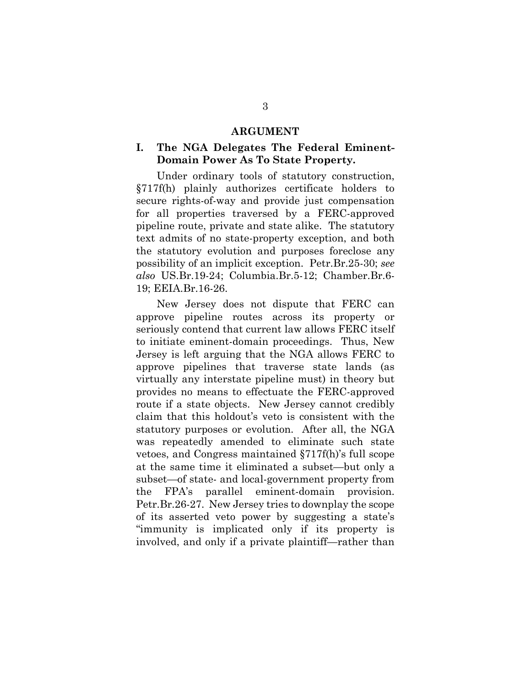#### **ARGUMENT**

### **I. The NGA Delegates The Federal Eminent-Domain Power As To State Property.**

Under ordinary tools of statutory construction, §717f(h) plainly authorizes certificate holders to secure rights-of-way and provide just compensation for all properties traversed by a FERC-approved pipeline route, private and state alike. The statutory text admits of no state-property exception, and both the statutory evolution and purposes foreclose any possibility of an implicit exception. Petr.Br.25-30; *see also* US.Br.19-24; Columbia.Br.5-12; Chamber.Br.6- 19; EEIA.Br.16-26.

New Jersey does not dispute that FERC can approve pipeline routes across its property or seriously contend that current law allows FERC itself to initiate eminent-domain proceedings. Thus, New Jersey is left arguing that the NGA allows FERC to approve pipelines that traverse state lands (as virtually any interstate pipeline must) in theory but provides no means to effectuate the FERC-approved route if a state objects. New Jersey cannot credibly claim that this holdout's veto is consistent with the statutory purposes or evolution. After all, the NGA was repeatedly amended to eliminate such state vetoes, and Congress maintained §717f(h)'s full scope at the same time it eliminated a subset—but only a subset—of state- and local-government property from the FPA's parallel eminent-domain provision. Petr.Br.26-27. New Jersey tries to downplay the scope of its asserted veto power by suggesting a state's "immunity is implicated only if its property is involved, and only if a private plaintiff—rather than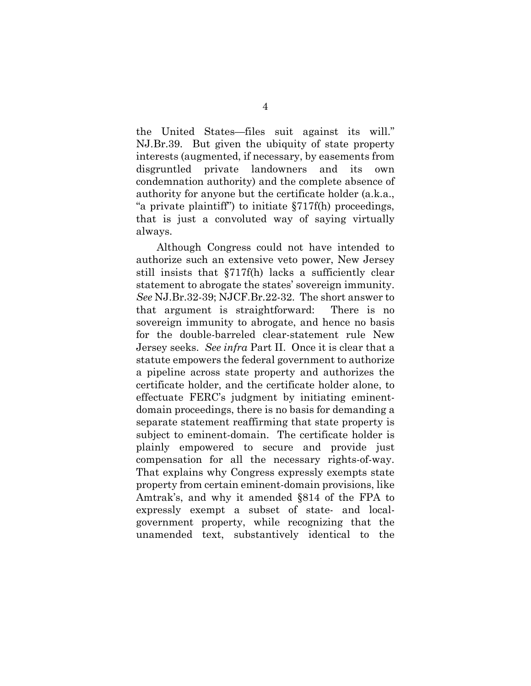the United States—files suit against its will." NJ.Br.39. But given the ubiquity of state property interests (augmented, if necessary, by easements from disgruntled private landowners and its own condemnation authority) and the complete absence of authority for anyone but the certificate holder (a.k.a., "a private plaintiff") to initiate §717f(h) proceedings, that is just a convoluted way of saying virtually always.

Although Congress could not have intended to authorize such an extensive veto power, New Jersey still insists that §717f(h) lacks a sufficiently clear statement to abrogate the states' sovereign immunity. *See* NJ.Br.32-39; NJCF.Br.22-32. The short answer to that argument is straightforward: There is no sovereign immunity to abrogate, and hence no basis for the double-barreled clear-statement rule New Jersey seeks. *See infra* Part II. Once it is clear that a statute empowers the federal government to authorize a pipeline across state property and authorizes the certificate holder, and the certificate holder alone, to effectuate FERC's judgment by initiating eminentdomain proceedings, there is no basis for demanding a separate statement reaffirming that state property is subject to eminent-domain. The certificate holder is plainly empowered to secure and provide just compensation for all the necessary rights-of-way. That explains why Congress expressly exempts state property from certain eminent-domain provisions, like Amtrak's, and why it amended §814 of the FPA to expressly exempt a subset of state- and localgovernment property, while recognizing that the unamended text, substantively identical to the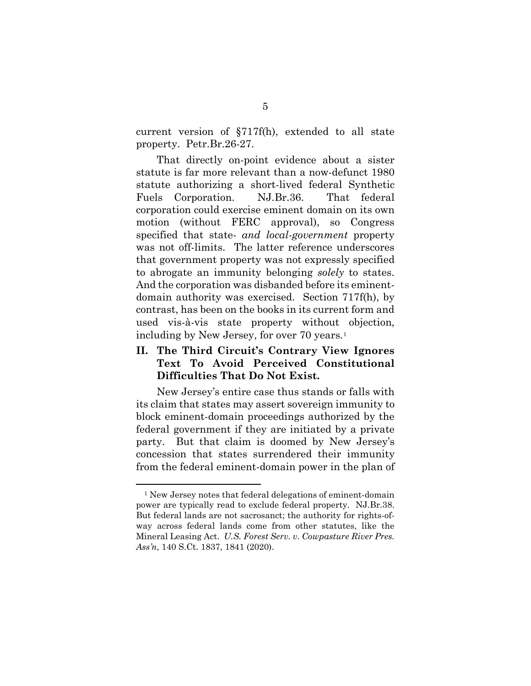current version of §717f(h), extended to all state property. Petr.Br.26-27.

That directly on-point evidence about a sister statute is far more relevant than a now-defunct 1980 statute authorizing a short-lived federal Synthetic Fuels Corporation. NJ.Br.36. That federal corporation could exercise eminent domain on its own motion (without FERC approval), so Congress specified that state- *and local-government* property was not off-limits. The latter reference underscores that government property was not expressly specified to abrogate an immunity belonging *solely* to states. And the corporation was disbanded before its eminentdomain authority was exercised. Section 717f(h), by contrast, has been on the books in its current form and used vis-à-vis state property without objection, including by New Jersey, for over 70 years.<sup>[1](#page-9-0)</sup>

## **II. The Third Circuit's Contrary View Ignores Text To Avoid Perceived Constitutional Difficulties That Do Not Exist.**

New Jersey's entire case thus stands or falls with its claim that states may assert sovereign immunity to block eminent-domain proceedings authorized by the federal government if they are initiated by a private party. But that claim is doomed by New Jersey's concession that states surrendered their immunity from the federal eminent-domain power in the plan of

<u>.</u>

<span id="page-9-0"></span><sup>&</sup>lt;sup>1</sup> New Jersey notes that federal delegations of eminent-domain power are typically read to exclude federal property. NJ.Br.38. But federal lands are not sacrosanct; the authority for rights-ofway across federal lands come from other statutes, like the Mineral Leasing Act. *U.S. Forest Serv. v. Cowpasture River Pres. Ass'n*, 140 S.Ct. 1837, 1841 (2020).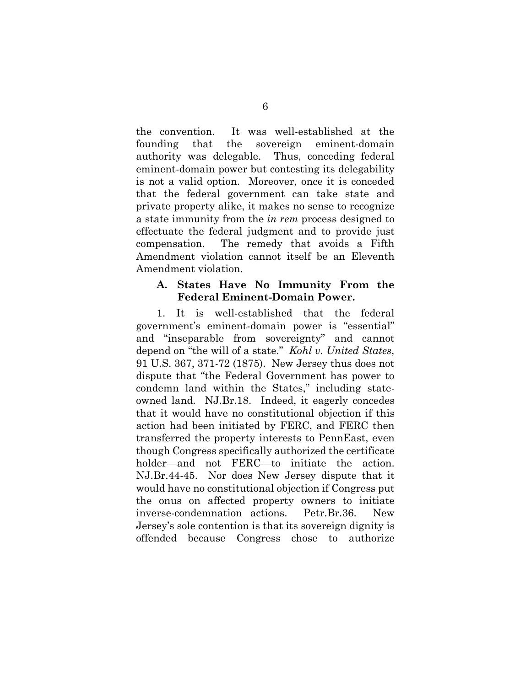the convention. It was well-established at the founding that the sovereign eminent-domain authority was delegable. Thus, conceding federal eminent-domain power but contesting its delegability is not a valid option. Moreover, once it is conceded that the federal government can take state and private property alike, it makes no sense to recognize a state immunity from the *in rem* process designed to effectuate the federal judgment and to provide just compensation. The remedy that avoids a Fifth Amendment violation cannot itself be an Eleventh Amendment violation.

### **A. States Have No Immunity From the Federal Eminent-Domain Power.**

1. It is well-established that the federal government's eminent-domain power is "essential" and "inseparable from sovereignty" and cannot depend on "the will of a state." *Kohl v. United States*, 91 U.S. 367, 371-72 (1875). New Jersey thus does not dispute that "the Federal Government has power to condemn land within the States," including stateowned land. NJ.Br.18. Indeed, it eagerly concedes that it would have no constitutional objection if this action had been initiated by FERC, and FERC then transferred the property interests to PennEast, even though Congress specifically authorized the certificate holder—and not FERC—to initiate the action. NJ.Br.44-45. Nor does New Jersey dispute that it would have no constitutional objection if Congress put the onus on affected property owners to initiate inverse-condemnation actions. Petr.Br.36. New Jersey's sole contention is that its sovereign dignity is offended because Congress chose to authorize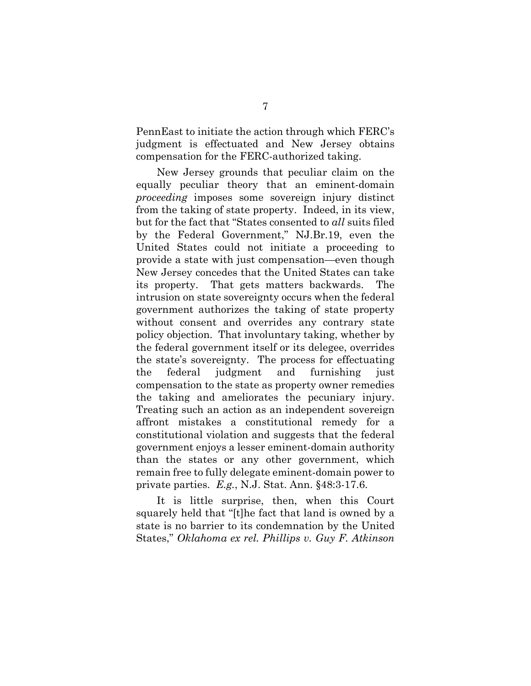PennEast to initiate the action through which FERC's judgment is effectuated and New Jersey obtains compensation for the FERC-authorized taking.

New Jersey grounds that peculiar claim on the equally peculiar theory that an eminent-domain *proceeding* imposes some sovereign injury distinct from the taking of state property. Indeed, in its view, but for the fact that "States consented to *all* suits filed by the Federal Government," NJ.Br.19, even the United States could not initiate a proceeding to provide a state with just compensation—even though New Jersey concedes that the United States can take its property. That gets matters backwards. The intrusion on state sovereignty occurs when the federal government authorizes the taking of state property without consent and overrides any contrary state policy objection. That involuntary taking, whether by the federal government itself or its delegee, overrides the state's sovereignty. The process for effectuating the federal judgment and furnishing just compensation to the state as property owner remedies the taking and ameliorates the pecuniary injury. Treating such an action as an independent sovereign affront mistakes a constitutional remedy for a constitutional violation and suggests that the federal government enjoys a lesser eminent-domain authority than the states or any other government, which remain free to fully delegate eminent-domain power to private parties. *E.g.*, N.J. Stat. Ann. §48:3-17.6.

It is little surprise, then, when this Court squarely held that "[t]he fact that land is owned by a state is no barrier to its condemnation by the United States," *Oklahoma ex rel. Phillips v. Guy F. Atkinson*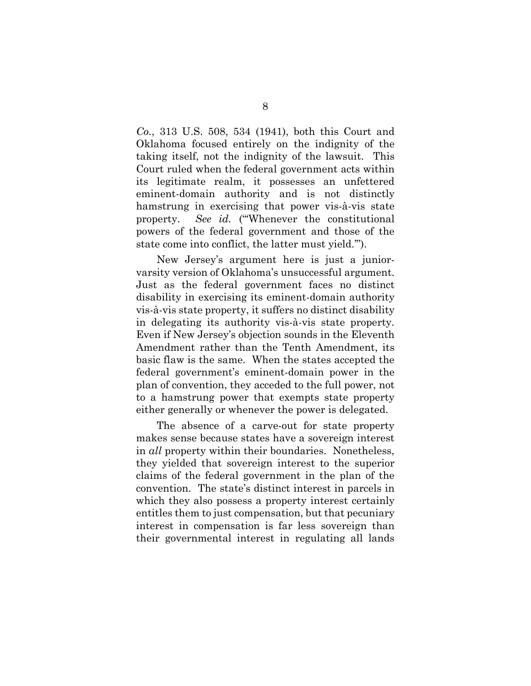*Co.*, 313 U.S. 508, 534 (1941), both this Court and Oklahoma focused entirely on the indignity of the taking itself, not the indignity of the lawsuit. This Court ruled when the federal government acts within its legitimate realm, it possesses an unfettered eminent-domain authority and is not distinctly hamstrung in exercising that power vis-à-vis state property. *See id.* ("'Whenever the constitutional powers of the federal government and those of the state come into conflict, the latter must yield.'").

New Jersey's argument here is just a juniorvarsity version of Oklahoma's unsuccessful argument. Just as the federal government faces no distinct disability in exercising its eminent-domain authority vis-à-vis state property, it suffers no distinct disability in delegating its authority vis-à-vis state property. Even if New Jersey's objection sounds in the Eleventh Amendment rather than the Tenth Amendment, its basic flaw is the same. When the states accepted the federal government's eminent-domain power in the plan of convention, they acceded to the full power, not to a hamstrung power that exempts state property either generally or whenever the power is delegated.

The absence of a carve-out for state property makes sense because states have a sovereign interest in *all* property within their boundaries. Nonetheless, they yielded that sovereign interest to the superior claims of the federal government in the plan of the convention. The state's distinct interest in parcels in which they also possess a property interest certainly entitles them to just compensation, but that pecuniary interest in compensation is far less sovereign than their governmental interest in regulating all lands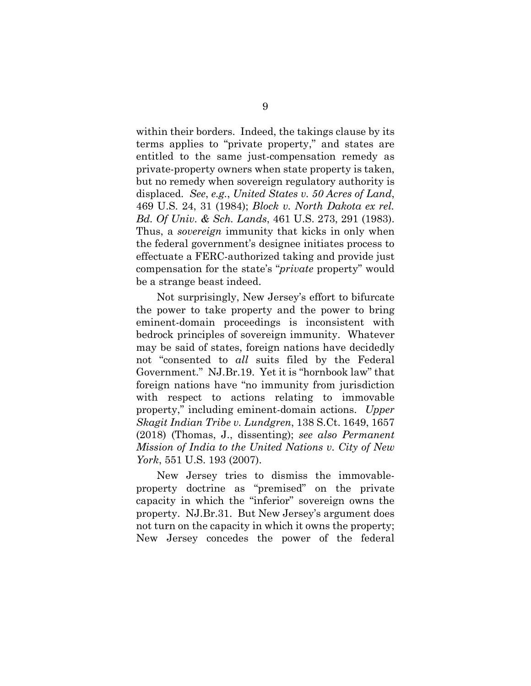within their borders. Indeed, the takings clause by its terms applies to "private property," and states are entitled to the same just-compensation remedy as private-property owners when state property is taken, but no remedy when sovereign regulatory authority is displaced. *See*, *e.g.*, *United States v. 50 Acres of Land*, 469 U.S. 24, 31 (1984); *Block v. North Dakota ex rel. Bd. Of Univ. & Sch. Lands*, 461 U.S. 273, 291 (1983). Thus, a *sovereign* immunity that kicks in only when the federal government's designee initiates process to effectuate a FERC-authorized taking and provide just compensation for the state's "*private* property" would be a strange beast indeed.

Not surprisingly, New Jersey's effort to bifurcate the power to take property and the power to bring eminent-domain proceedings is inconsistent with bedrock principles of sovereign immunity. Whatever may be said of states, foreign nations have decidedly not "consented to *all* suits filed by the Federal Government." NJ.Br.19. Yet it is "hornbook law" that foreign nations have "no immunity from jurisdiction with respect to actions relating to immovable property," including eminent-domain actions. *Upper Skagit Indian Tribe v. Lundgren*, 138 S.Ct. 1649, 1657 (2018) (Thomas, J., dissenting); *see also Permanent Mission of India to the United Nations v. City of New York*, 551 U.S. 193 (2007).

New Jersey tries to dismiss the immovableproperty doctrine as "premised" on the private capacity in which the "inferior" sovereign owns the property. NJ.Br.31. But New Jersey's argument does not turn on the capacity in which it owns the property; New Jersey concedes the power of the federal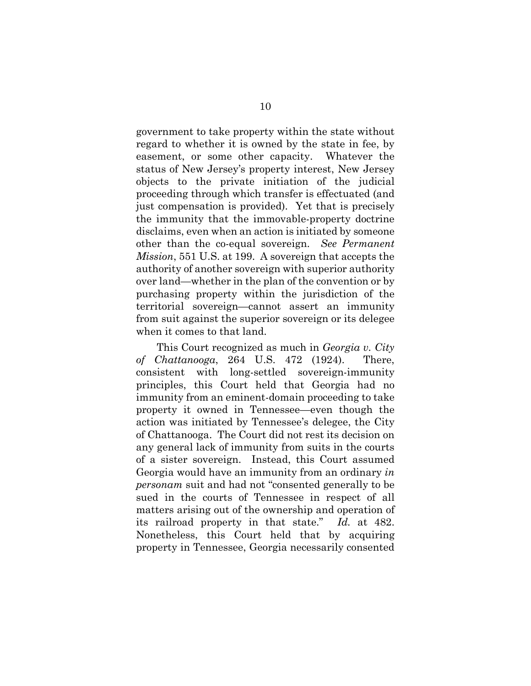government to take property within the state without regard to whether it is owned by the state in fee, by easement, or some other capacity. Whatever the status of New Jersey's property interest, New Jersey objects to the private initiation of the judicial proceeding through which transfer is effectuated (and just compensation is provided). Yet that is precisely the immunity that the immovable-property doctrine disclaims, even when an action is initiated by someone other than the co-equal sovereign. *See Permanent Mission*, 551 U.S. at 199. A sovereign that accepts the authority of another sovereign with superior authority over land—whether in the plan of the convention or by purchasing property within the jurisdiction of the territorial sovereign—cannot assert an immunity from suit against the superior sovereign or its delegee when it comes to that land.

This Court recognized as much in *Georgia v. City of Chattanooga*, 264 U.S. 472 (1924). There, consistent with long-settled sovereign-immunity principles, this Court held that Georgia had no immunity from an eminent-domain proceeding to take property it owned in Tennessee—even though the action was initiated by Tennessee's delegee, the City of Chattanooga. The Court did not rest its decision on any general lack of immunity from suits in the courts of a sister sovereign. Instead, this Court assumed Georgia would have an immunity from an ordinary *in personam* suit and had not "consented generally to be sued in the courts of Tennessee in respect of all matters arising out of the ownership and operation of its railroad property in that state." *Id.* at 482. Nonetheless, this Court held that by acquiring property in Tennessee, Georgia necessarily consented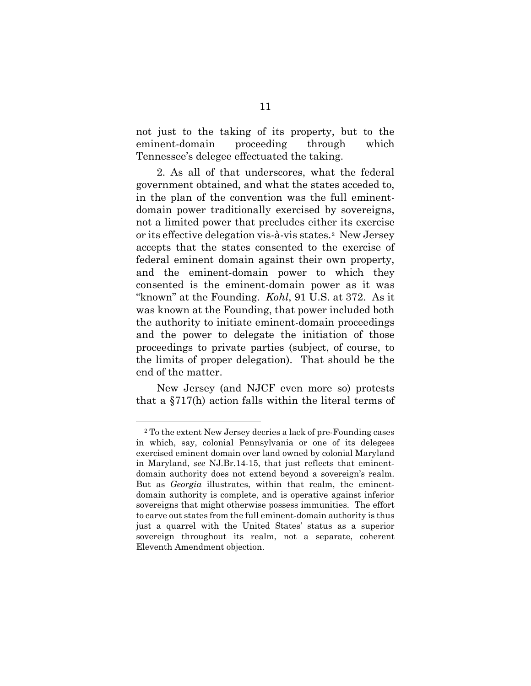not just to the taking of its property, but to the eminent-domain proceeding through which Tennessee's delegee effectuated the taking.

2. As all of that underscores, what the federal government obtained, and what the states acceded to, in the plan of the convention was the full eminentdomain power traditionally exercised by sovereigns, not a limited power that precludes either its exercise or its effective delegation vis-à-vis states.[2](#page-15-0) New Jersey accepts that the states consented to the exercise of federal eminent domain against their own property, and the eminent-domain power to which they consented is the eminent-domain power as it was "known" at the Founding. *Kohl*, 91 U.S. at 372. As it was known at the Founding, that power included both the authority to initiate eminent-domain proceedings and the power to delegate the initiation of those proceedings to private parties (subject, of course, to the limits of proper delegation). That should be the end of the matter.

New Jersey (and NJCF even more so) protests that a §717(h) action falls within the literal terms of

1

<span id="page-15-0"></span><sup>2</sup> To the extent New Jersey decries a lack of pre-Founding cases in which, say, colonial Pennsylvania or one of its delegees exercised eminent domain over land owned by colonial Maryland in Maryland, *see* NJ.Br.14-15, that just reflects that eminentdomain authority does not extend beyond a sovereign's realm. But as *Georgia* illustrates, within that realm, the eminentdomain authority is complete, and is operative against inferior sovereigns that might otherwise possess immunities. The effort to carve out states from the full eminent-domain authority is thus just a quarrel with the United States' status as a superior sovereign throughout its realm, not a separate, coherent Eleventh Amendment objection.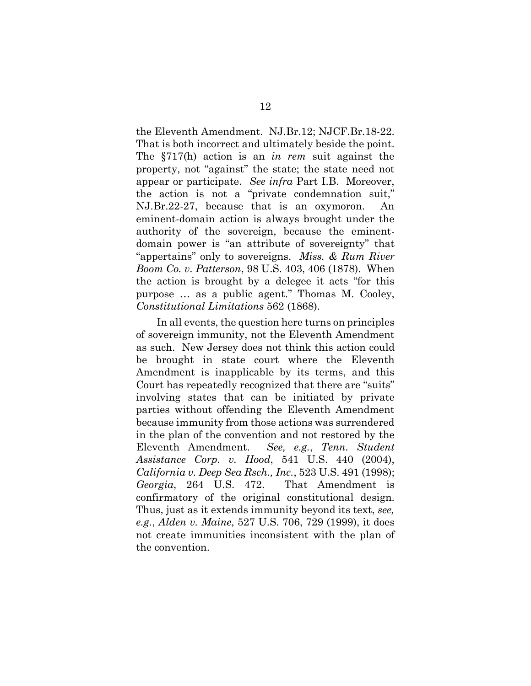the Eleventh Amendment. NJ.Br.12; NJCF.Br.18-22. That is both incorrect and ultimately beside the point. The §717(h) action is an *in rem* suit against the property, not "against" the state; the state need not appear or participate. *See infra* Part I.B. Moreover, the action is not a "private condemnation suit," NJ.Br.22-27, because that is an oxymoron. An eminent-domain action is always brought under the authority of the sovereign, because the eminentdomain power is "an attribute of sovereignty" that "appertains" only to sovereigns. *Miss. & Rum River Boom Co. v. Patterson*, 98 U.S. 403, 406 (1878). When the action is brought by a delegee it acts "for this purpose … as a public agent." Thomas M. Cooley, *Constitutional Limitations* 562 (1868).

In all events, the question here turns on principles of sovereign immunity, not the Eleventh Amendment as such. New Jersey does not think this action could be brought in state court where the Eleventh Amendment is inapplicable by its terms, and this Court has repeatedly recognized that there are "suits" involving states that can be initiated by private parties without offending the Eleventh Amendment because immunity from those actions was surrendered in the plan of the convention and not restored by the Eleventh Amendment. *See, e.g.*, *Tenn. Student Assistance Corp. v. Hood*, 541 U.S. 440 (2004), *California v. Deep Sea Rsch., Inc.*, 523 U.S. 491 (1998); *Georgia*, 264 U.S. 472. That Amendment is confirmatory of the original constitutional design. Thus, just as it extends immunity beyond its text, *see, e.g.*, *Alden v. Maine*, 527 U.S. 706, 729 (1999), it does not create immunities inconsistent with the plan of the convention.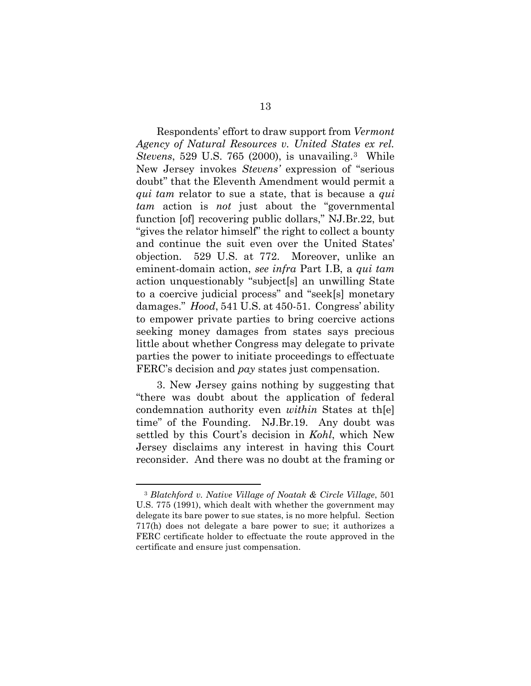Respondents' effort to draw support from *Vermont Agency of Natural Resources v. United States ex rel. Stevens*, 529 U.S. 765 (2000), is unavailing.<sup>[3](#page-17-0)</sup> While New Jersey invokes *Stevens'* expression of "serious doubt" that the Eleventh Amendment would permit a *qui tam* relator to sue a state, that is because a *qui tam* action is *not* just about the "governmental function [of] recovering public dollars," NJ.Br.22, but "gives the relator himself" the right to collect a bounty and continue the suit even over the United States' objection. 529 U.S. at 772. Moreover, unlike an eminent-domain action, *see infra* Part I.B, a *qui tam* action unquestionably "subject[s] an unwilling State to a coercive judicial process" and "seek[s] monetary damages." *Hood*, 541 U.S. at 450-51. Congress' ability to empower private parties to bring coercive actions seeking money damages from states says precious little about whether Congress may delegate to private parties the power to initiate proceedings to effectuate FERC's decision and *pay* states just compensation.

3. New Jersey gains nothing by suggesting that "there was doubt about the application of federal condemnation authority even *within* States at th[e] time" of the Founding. NJ.Br.19. Any doubt was settled by this Court's decision in *Kohl*, which New Jersey disclaims any interest in having this Court reconsider. And there was no doubt at the framing or

<u>.</u>

<span id="page-17-0"></span><sup>3</sup> *Blatchford v. Native Village of Noatak & Circle Village*, 501 U.S. 775 (1991), which dealt with whether the government may delegate its bare power to sue states, is no more helpful. Section 717(h) does not delegate a bare power to sue; it authorizes a FERC certificate holder to effectuate the route approved in the certificate and ensure just compensation.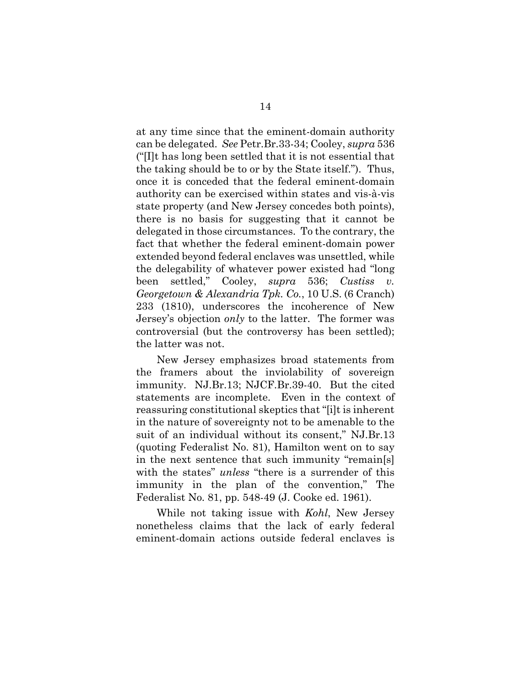at any time since that the eminent-domain authority can be delegated. *See* Petr.Br.33-34; Cooley, *supra* 536 ("[I]t has long been settled that it is not essential that the taking should be to or by the State itself."). Thus, once it is conceded that the federal eminent-domain authority can be exercised within states and vis-à-vis state property (and New Jersey concedes both points), there is no basis for suggesting that it cannot be delegated in those circumstances. To the contrary, the fact that whether the federal eminent-domain power extended beyond federal enclaves was unsettled, while the delegability of whatever power existed had "long been settled," Cooley, *supra* 536; *Custiss v. Georgetown & Alexandria Tpk. Co.*, 10 U.S. (6 Cranch) 233 (1810), underscores the incoherence of New Jersey's objection *only* to the latter. The former was controversial (but the controversy has been settled); the latter was not.

New Jersey emphasizes broad statements from the framers about the inviolability of sovereign immunity. NJ.Br.13; NJCF.Br.39-40. But the cited statements are incomplete. Even in the context of reassuring constitutional skeptics that "[i]t is inherent in the nature of sovereignty not to be amenable to the suit of an individual without its consent," NJ.Br.13 (quoting Federalist No. 81), Hamilton went on to say in the next sentence that such immunity "remain[s] with the states" *unless* "there is a surrender of this immunity in the plan of the convention," The Federalist No. 81, pp. 548-49 (J. Cooke ed. 1961).

While not taking issue with *Kohl*, New Jersey nonetheless claims that the lack of early federal eminent-domain actions outside federal enclaves is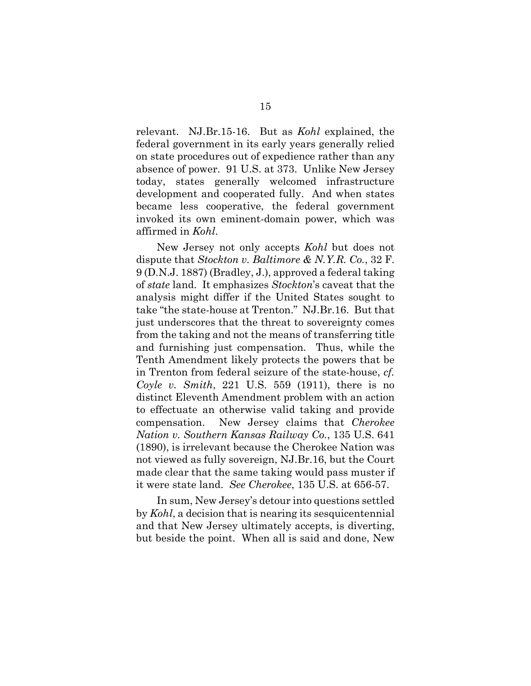relevant. NJ.Br.15-16. But as *Kohl* explained, the federal government in its early years generally relied on state procedures out of expedience rather than any absence of power. 91 U.S. at 373. Unlike New Jersey today, states generally welcomed infrastructure development and cooperated fully. And when states became less cooperative, the federal government invoked its own eminent-domain power, which was affirmed in *Kohl*.

New Jersey not only accepts *Kohl* but does not dispute that *Stockton v. Baltimore & N.Y.R. Co.*, 32 F. 9 (D.N.J. 1887) (Bradley, J.), approved a federal taking of *state* land. It emphasizes *Stockton*'s caveat that the analysis might differ if the United States sought to take "the state-house at Trenton." NJ.Br.16. But that just underscores that the threat to sovereignty comes from the taking and not the means of transferring title and furnishing just compensation. Thus, while the Tenth Amendment likely protects the powers that be in Trenton from federal seizure of the state-house, *cf. Coyle v. Smith*, 221 U.S. 559 (1911), there is no distinct Eleventh Amendment problem with an action to effectuate an otherwise valid taking and provide compensation. New Jersey claims that *Cherokee Nation v. Southern Kansas Railway Co.*, 135 U.S. 641 (1890), is irrelevant because the Cherokee Nation was not viewed as fully sovereign, NJ.Br.16, but the Court made clear that the same taking would pass muster if it were state land. *See Cherokee*, 135 U.S. at 656-57.

In sum, New Jersey's detour into questions settled by *Kohl*, a decision that is nearing its sesquicentennial and that New Jersey ultimately accepts, is diverting, but beside the point. When all is said and done, New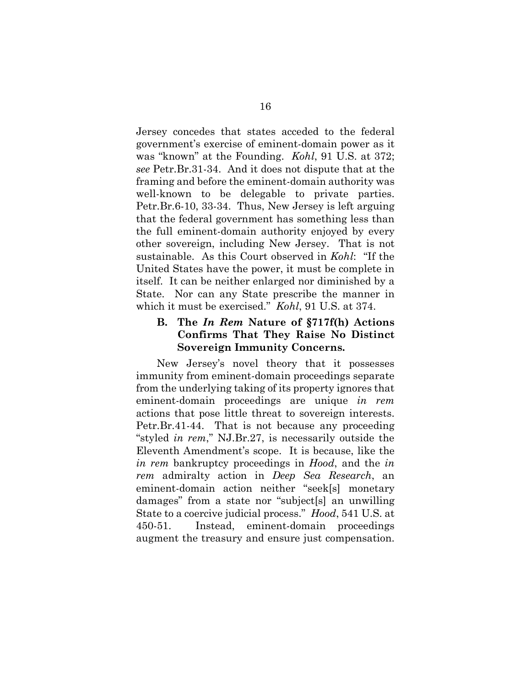Jersey concedes that states acceded to the federal government's exercise of eminent-domain power as it was "known" at the Founding. *Kohl*, 91 U.S. at 372; *see* Petr.Br.31-34. And it does not dispute that at the framing and before the eminent-domain authority was well-known to be delegable to private parties. Petr.Br.6-10, 33-34. Thus, New Jersey is left arguing that the federal government has something less than the full eminent-domain authority enjoyed by every other sovereign, including New Jersey. That is not sustainable. As this Court observed in *Kohl*:"If the United States have the power, it must be complete in itself. It can be neither enlarged nor diminished by a State. Nor can any State prescribe the manner in which it must be exercised." *Kohl*, 91 U.S. at 374.

### **B. The** *In Rem* **Nature of §717f(h) Actions Confirms That They Raise No Distinct Sovereign Immunity Concerns.**

New Jersey's novel theory that it possesses immunity from eminent-domain proceedings separate from the underlying taking of its property ignores that eminent-domain proceedings are unique *in rem*  actions that pose little threat to sovereign interests. Petr.Br.41-44. That is not because any proceeding "styled *in rem*," NJ.Br.27, is necessarily outside the Eleventh Amendment's scope. It is because, like the *in rem* bankruptcy proceedings in *Hood*, and the *in rem* admiralty action in *Deep Sea Research*, an eminent-domain action neither "seek[s] monetary damages" from a state nor "subject[s] an unwilling State to a coercive judicial process." *Hood*, 541 U.S. at 450-51. Instead, eminent-domain proceedings augment the treasury and ensure just compensation.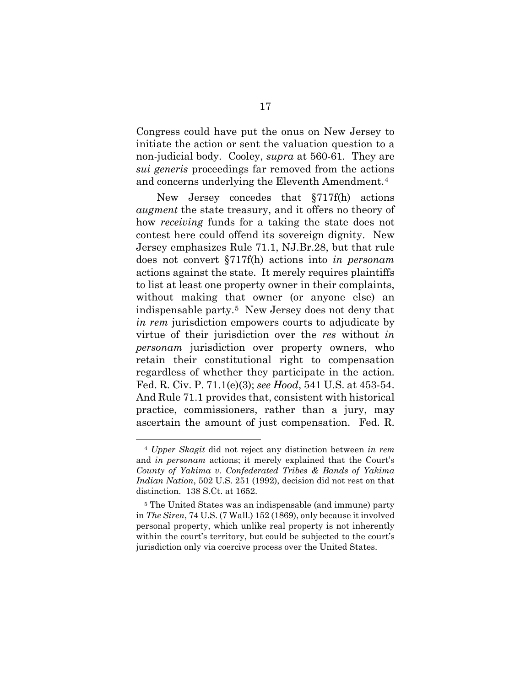Congress could have put the onus on New Jersey to initiate the action or sent the valuation question to a non-judicial body. Cooley, *supra* at 560-61*.* They are *sui generis* proceedings far removed from the actions and concerns underlying the Eleventh Amendment.[4](#page-21-0)

New Jersey concedes that §717f(h) actions *augment* the state treasury, and it offers no theory of how *receiving* funds for a taking the state does not contest here could offend its sovereign dignity. New Jersey emphasizes Rule 71.1, NJ.Br.28, but that rule does not convert §717f(h) actions into *in personam* actions against the state. It merely requires plaintiffs to list at least one property owner in their complaints, without making that owner (or anyone else) an indispensable party.[5](#page-21-1) New Jersey does not deny that *in rem* jurisdiction empowers courts to adjudicate by virtue of their jurisdiction over the *res* without *in personam* jurisdiction over property owners, who retain their constitutional right to compensation regardless of whether they participate in the action. Fed. R. Civ. P. 71.1(e)(3); *see Hood*, 541 U.S. at 453-54. And Rule 71.1 provides that, consistent with historical practice, commissioners, rather than a jury, may ascertain the amount of just compensation. Fed. R.

<u>.</u>

<span id="page-21-0"></span><sup>4</sup> *Upper Skagit* did not reject any distinction between *in rem* and *in personam* actions; it merely explained that the Court's *County of Yakima v. Confederated Tribes & Bands of Yakima Indian Nation*, 502 U.S. 251 (1992), decision did not rest on that distinction. 138 S.Ct. at 1652.

<span id="page-21-1"></span><sup>5</sup> The United States was an indispensable (and immune) party in *The Siren*, 74 U.S. (7 Wall.) 152 (1869), only because it involved personal property, which unlike real property is not inherently within the court's territory, but could be subjected to the court's jurisdiction only via coercive process over the United States.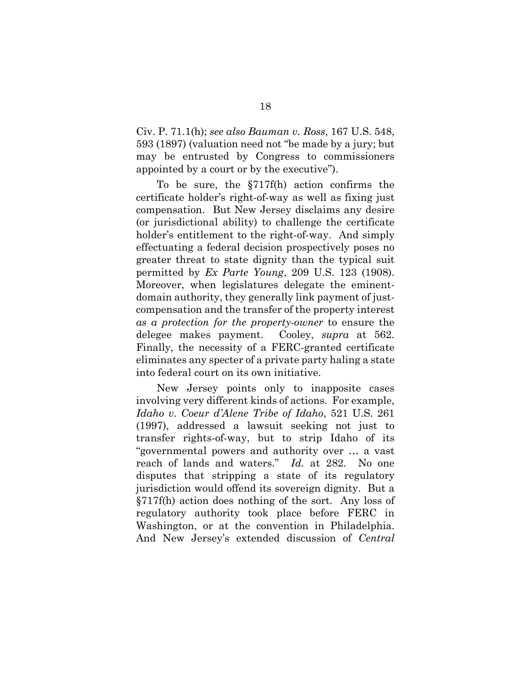Civ. P. 71.1(h); *see also Bauman v. Ross*, 167 U.S. 548, 593 (1897) (valuation need not "be made by a jury; but may be entrusted by Congress to commissioners appointed by a court or by the executive").

To be sure, the §717f(h) action confirms the certificate holder's right-of-way as well as fixing just compensation. But New Jersey disclaims any desire (or jurisdictional ability) to challenge the certificate holder's entitlement to the right-of-way. And simply effectuating a federal decision prospectively poses no greater threat to state dignity than the typical suit permitted by *Ex Parte Young*, 209 U.S. 123 (1908). Moreover, when legislatures delegate the eminentdomain authority, they generally link payment of justcompensation and the transfer of the property interest *as a protection for the property-owner* to ensure the delegee makes payment. Cooley, *supra* at 562. Finally, the necessity of a FERC-granted certificate eliminates any specter of a private party haling a state into federal court on its own initiative.

New Jersey points only to inapposite cases involving very different kinds of actions. For example, *Idaho v. Coeur d'Alene Tribe of Idaho*, 521 U.S. 261 (1997), addressed a lawsuit seeking not just to transfer rights-of-way, but to strip Idaho of its "governmental powers and authority over … a vast reach of lands and waters." *Id.* at 282. No one disputes that stripping a state of its regulatory jurisdiction would offend its sovereign dignity. But a §717f(h) action does nothing of the sort. Any loss of regulatory authority took place before FERC in Washington, or at the convention in Philadelphia. And New Jersey's extended discussion of *Central*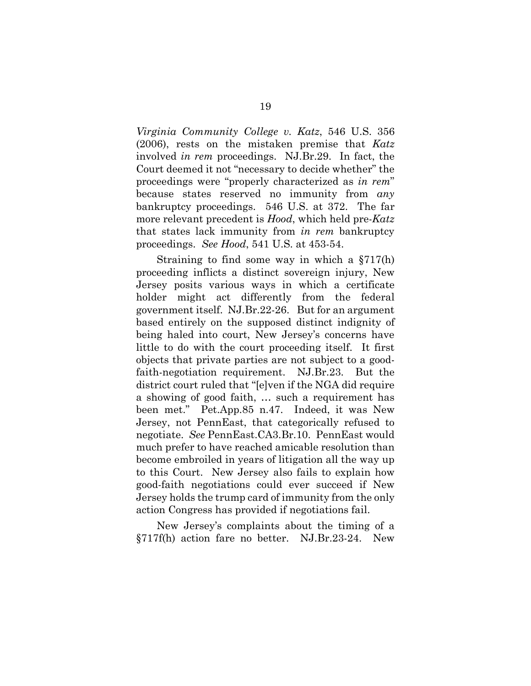*Virginia Community College v. Katz*, 546 U.S. 356 (2006), rests on the mistaken premise that *Katz* involved *in rem* proceedings. NJ.Br.29. In fact, the Court deemed it not "necessary to decide whether" the proceedings were "properly characterized as *in rem*" because states reserved no immunity from *any*  bankruptcy proceedings. 546 U.S. at 372. The far more relevant precedent is *Hood*, which held pre-*Katz*  that states lack immunity from *in rem* bankruptcy proceedings. *See Hood*, 541 U.S. at 453-54.

Straining to find some way in which a §717(h) proceeding inflicts a distinct sovereign injury, New Jersey posits various ways in which a certificate holder might act differently from the federal government itself. NJ.Br.22-26. But for an argument based entirely on the supposed distinct indignity of being haled into court, New Jersey's concerns have little to do with the court proceeding itself. It first objects that private parties are not subject to a goodfaith-negotiation requirement. NJ.Br.23. But the district court ruled that "[e]ven if the NGA did require a showing of good faith, … such a requirement has been met." Pet.App.85 n.47. Indeed, it was New Jersey, not PennEast, that categorically refused to negotiate. *See* PennEast.CA3.Br.10. PennEast would much prefer to have reached amicable resolution than become embroiled in years of litigation all the way up to this Court. New Jersey also fails to explain how good-faith negotiations could ever succeed if New Jersey holds the trump card of immunity from the only action Congress has provided if negotiations fail.

New Jersey's complaints about the timing of a §717f(h) action fare no better. NJ.Br.23-24. New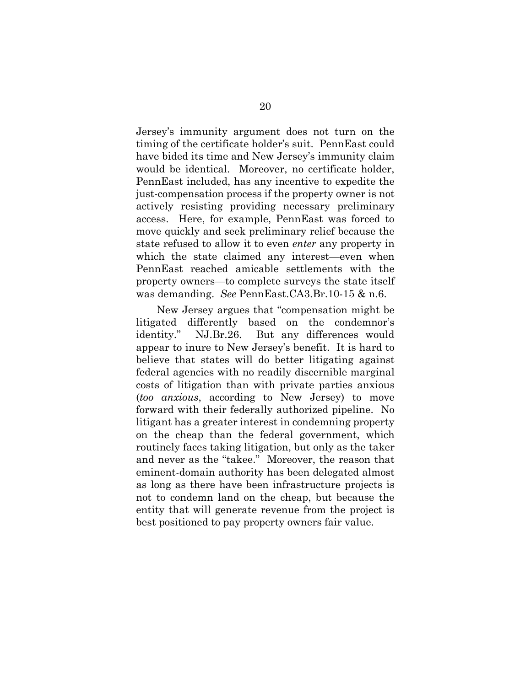Jersey's immunity argument does not turn on the timing of the certificate holder's suit. PennEast could have bided its time and New Jersey's immunity claim would be identical. Moreover, no certificate holder, PennEast included, has any incentive to expedite the just-compensation process if the property owner is not actively resisting providing necessary preliminary access. Here, for example, PennEast was forced to move quickly and seek preliminary relief because the state refused to allow it to even *enter* any property in which the state claimed any interest—even when PennEast reached amicable settlements with the property owners—to complete surveys the state itself was demanding. *See* PennEast.CA3.Br.10-15 & n.6.

New Jersey argues that "compensation might be litigated differently based on the condemnor's identity." NJ.Br.26. But any differences would appear to inure to New Jersey's benefit. It is hard to believe that states will do better litigating against federal agencies with no readily discernible marginal costs of litigation than with private parties anxious (*too anxious*, according to New Jersey) to move forward with their federally authorized pipeline. No litigant has a greater interest in condemning property on the cheap than the federal government, which routinely faces taking litigation, but only as the taker and never as the "takee." Moreover, the reason that eminent-domain authority has been delegated almost as long as there have been infrastructure projects is not to condemn land on the cheap, but because the entity that will generate revenue from the project is best positioned to pay property owners fair value.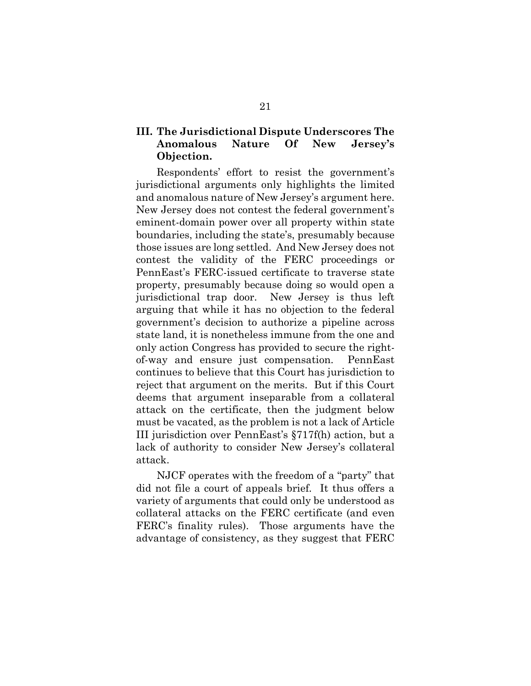### **III. The Jurisdictional Dispute Underscores The Anomalous Nature Of New Jersey's Objection.**

Respondents' effort to resist the government's jurisdictional arguments only highlights the limited and anomalous nature of New Jersey's argument here. New Jersey does not contest the federal government's eminent-domain power over all property within state boundaries, including the state's, presumably because those issues are long settled. And New Jersey does not contest the validity of the FERC proceedings or PennEast's FERC-issued certificate to traverse state property, presumably because doing so would open a jurisdictional trap door. New Jersey is thus left arguing that while it has no objection to the federal government's decision to authorize a pipeline across state land, it is nonetheless immune from the one and only action Congress has provided to secure the rightof-way and ensure just compensation. PennEast continues to believe that this Court has jurisdiction to reject that argument on the merits. But if this Court deems that argument inseparable from a collateral attack on the certificate, then the judgment below must be vacated, as the problem is not a lack of Article III jurisdiction over PennEast's §717f(h) action, but a lack of authority to consider New Jersey's collateral attack.

NJCF operates with the freedom of a "party" that did not file a court of appeals brief. It thus offers a variety of arguments that could only be understood as collateral attacks on the FERC certificate (and even FERC's finality rules). Those arguments have the advantage of consistency, as they suggest that FERC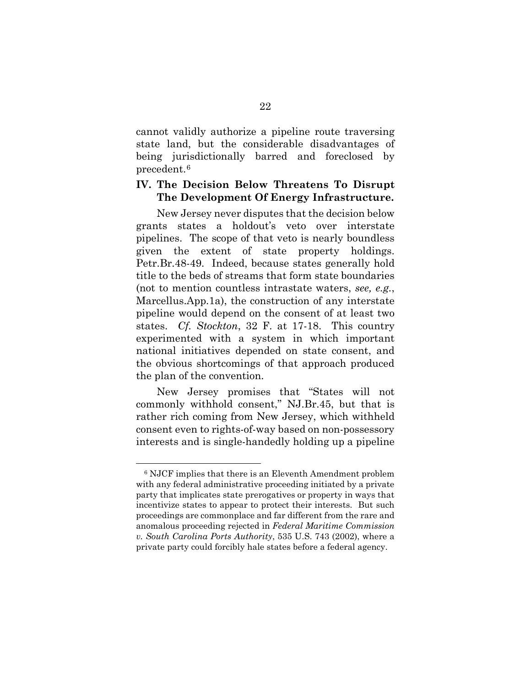cannot validly authorize a pipeline route traversing state land, but the considerable disadvantages of being jurisdictionally barred and foreclosed by precedent.[6](#page-26-0) 

### **IV. The Decision Below Threatens To Disrupt The Development Of Energy Infrastructure.**

New Jersey never disputes that the decision below grants states a holdout's veto over interstate pipelines. The scope of that veto is nearly boundless given the extent of state property holdings. Petr.Br.48-49. Indeed, because states generally hold title to the beds of streams that form state boundaries (not to mention countless intrastate waters, *see, e.g.*, Marcellus.App.1a), the construction of any interstate pipeline would depend on the consent of at least two states. *Cf. Stockton*, 32 F. at 17-18. This country experimented with a system in which important national initiatives depended on state consent, and the obvious shortcomings of that approach produced the plan of the convention.

New Jersey promises that "States will not commonly withhold consent," NJ.Br.45, but that is rather rich coming from New Jersey, which withheld consent even to rights-of-way based on non-possessory interests and is single-handedly holding up a pipeline

<u>.</u>

<span id="page-26-0"></span><sup>6</sup> NJCF implies that there is an Eleventh Amendment problem with any federal administrative proceeding initiated by a private party that implicates state prerogatives or property in ways that incentivize states to appear to protect their interests. But such proceedings are commonplace and far different from the rare and anomalous proceeding rejected in *Federal Maritime Commission v. South Carolina Ports Authority*, 535 U.S. 743 (2002), where a private party could forcibly hale states before a federal agency.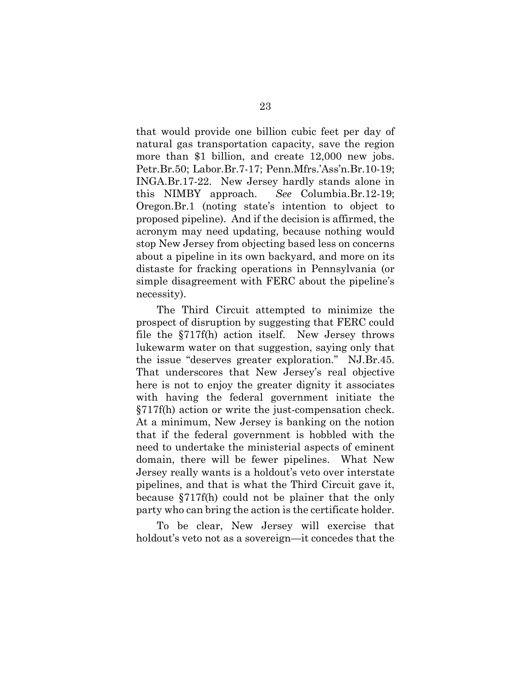that would provide one billion cubic feet per day of natural gas transportation capacity, save the region more than \$1 billion, and create 12,000 new jobs. Petr.Br.50; Labor.Br.7-17; Penn.Mfrs.'Ass'n.Br.10-19; INGA.Br.17-22. New Jersey hardly stands alone in this NIMBY approach. *See* Columbia.Br.12-19; Oregon.Br.1 (noting state's intention to object to proposed pipeline). And if the decision is affirmed, the acronym may need updating, because nothing would stop New Jersey from objecting based less on concerns about a pipeline in its own backyard, and more on its distaste for fracking operations in Pennsylvania (or simple disagreement with FERC about the pipeline's necessity).

The Third Circuit attempted to minimize the prospect of disruption by suggesting that FERC could file the §717f(h) action itself. New Jersey throws lukewarm water on that suggestion, saying only that the issue "deserves greater exploration." NJ.Br.45. That underscores that New Jersey's real objective here is not to enjoy the greater dignity it associates with having the federal government initiate the §717f(h) action or write the just-compensation check. At a minimum, New Jersey is banking on the notion that if the federal government is hobbled with the need to undertake the ministerial aspects of eminent domain, there will be fewer pipelines. What New Jersey really wants is a holdout's veto over interstate pipelines, and that is what the Third Circuit gave it, because §717f(h) could not be plainer that the only party who can bring the action is the certificate holder.

To be clear, New Jersey will exercise that holdout's veto not as a sovereign—it concedes that the